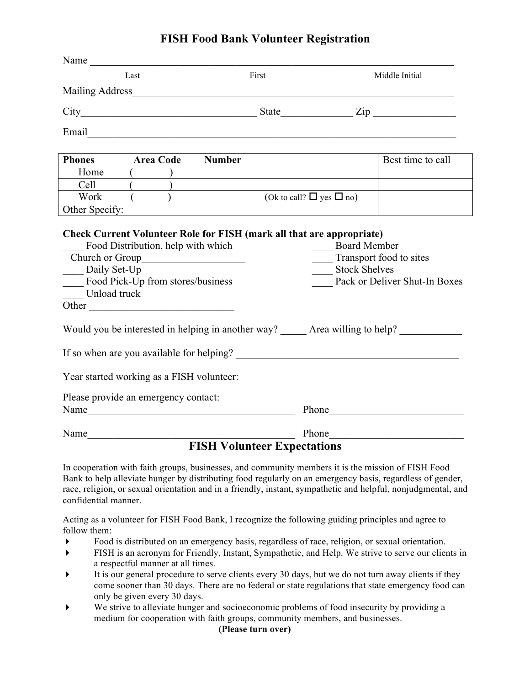## **FISH Food Bank Volunteer Registration**

|                                                                                                         | Name                                         |        |                                    |                                                                                                         |                   |  |
|---------------------------------------------------------------------------------------------------------|----------------------------------------------|--------|------------------------------------|---------------------------------------------------------------------------------------------------------|-------------------|--|
|                                                                                                         | Last                                         |        | First                              |                                                                                                         | Middle Initial    |  |
|                                                                                                         |                                              |        |                                    |                                                                                                         |                   |  |
|                                                                                                         |                                              |        |                                    |                                                                                                         |                   |  |
|                                                                                                         |                                              |        |                                    |                                                                                                         |                   |  |
| <b>Phones</b>                                                                                           | <b>Area Code</b>                             | Number |                                    |                                                                                                         | Best time to call |  |
| Home                                                                                                    |                                              |        |                                    |                                                                                                         |                   |  |
| Cell                                                                                                    |                                              |        |                                    |                                                                                                         |                   |  |
| Work                                                                                                    |                                              |        | (Ok to call? $\Box$ yes $\Box$ no) |                                                                                                         |                   |  |
| Other Specify:                                                                                          |                                              |        |                                    |                                                                                                         |                   |  |
| Food Distribution, help with which<br>Daily Set-Up<br>Food Pick-Up from stores/business<br>Unload truck |                                              |        |                                    | <b>Board Member</b><br>Transport food to sites<br><b>Stock Shelves</b><br>Pack or Deliver Shut-In Boxes |                   |  |
| Would you be interested in helping in another way? ______ Area willing to help? ___________________     |                                              |        |                                    |                                                                                                         |                   |  |
|                                                                                                         |                                              |        |                                    |                                                                                                         |                   |  |
|                                                                                                         |                                              |        |                                    |                                                                                                         |                   |  |
|                                                                                                         | Please provide an emergency contact:<br>Name |        |                                    |                                                                                                         | Phone             |  |
| Name                                                                                                    | <u> 1980 - Andrea Andrew Maria (b. 1980)</u> |        |                                    |                                                                                                         |                   |  |
| <b>FISH Volunteer Expectations</b>                                                                      |                                              |        |                                    |                                                                                                         |                   |  |

In cooperation with faith groups, businesses, and community members it is the mission of FISH Food Bank to help alleviate hunger by distributing food regularly on an emergency basis, regardless of gender, race, religion, or sexual orientation and in a friendly, instant, sympathetic and helpful, nonjudgmental, and confidential manner.

Acting as a volunteer for FISH Food Bank, I recognize the following guiding principles and agree to follow them:

- ! Food is distributed on an emergency basis, regardless of race, religion, or sexual orientation.
- ! FISH is an acronym for Friendly, Instant, Sympathetic, and Help. We strive to serve our clients in a respectful manner at all times.
- It is our general procedure to serve clients every 30 days, but we do not turn away clients if they come sooner than 30 days. There are no federal or state regulations that state emergency food can only be given every 30 days.
- ! We strive to alleviate hunger and socioeconomic problems of food insecurity by providing a medium for cooperation with faith groups, community members, and businesses.